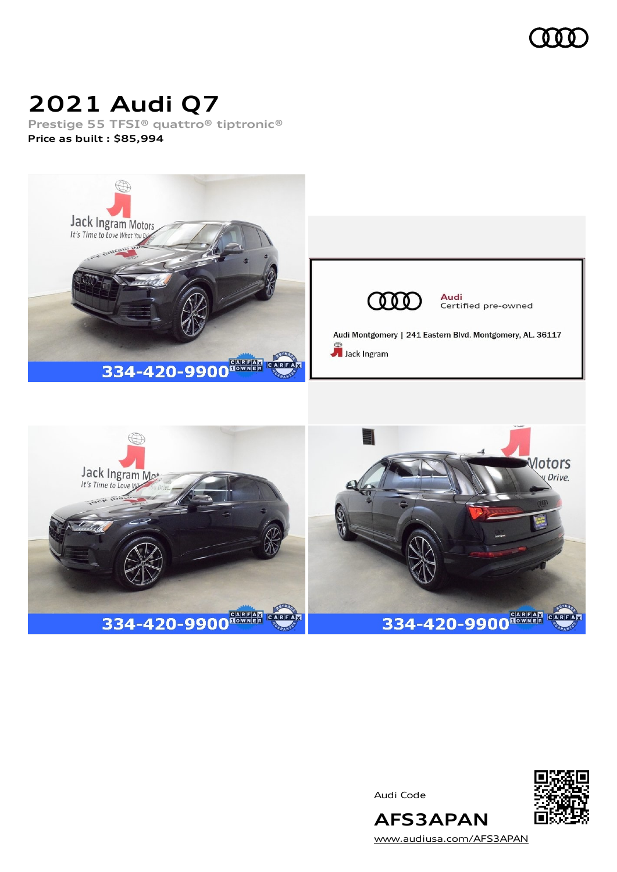

# **2021 Audi Q7**

**Prestige 55 TFSI® quattro® tiptronic® Price as built [:](#page-8-0) \$85,994**





Audi Code



[www.audiusa.com/AFS3APAN](https://www.audiusa.com/AFS3APAN)

**AFS3APAN**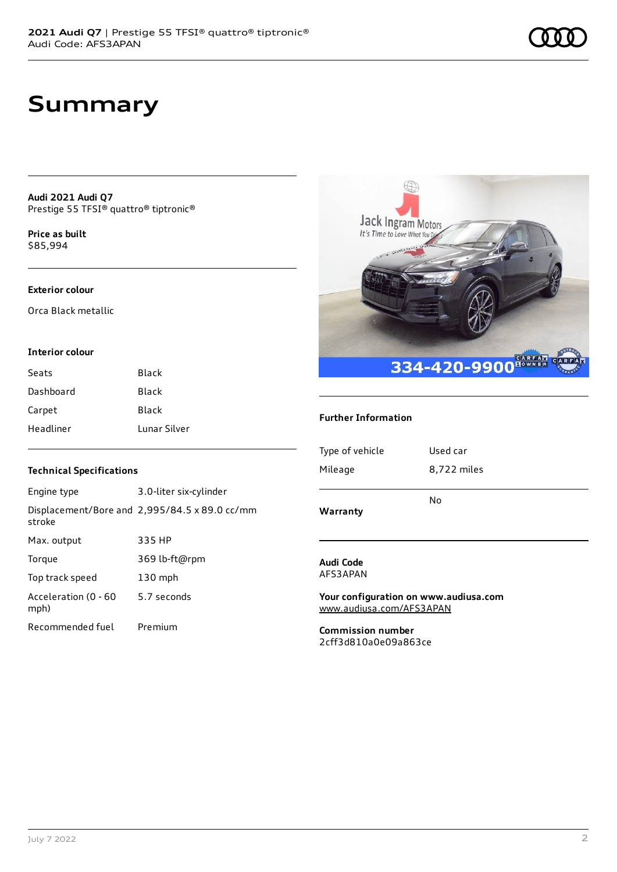**Audi 2021 Audi Q7** Prestige 55 TFSI® quattro® tiptronic®

**Price as buil[t](#page-8-0)** \$85,994

#### **Exterior colour**

Orca Black metallic

#### **Interior colour**

| Seats     | <b>Black</b> |
|-----------|--------------|
| Dashboard | <b>Black</b> |
| Carpet    | <b>Black</b> |
| Headliner | Lunar Silver |

# **Jack Ingram Motors**<br>It's Time to Love What You Dig 334-420-9900<sup>648742</sup>

## **Further Information**

| Type of vehicle | Used car    |
|-----------------|-------------|
| Mileage         | 8,722 miles |
|                 | No          |
| Warranty        |             |

#### **Audi Code** AFS3APAN

**Your configuration on www.audiusa.com** [www.audiusa.com/AFS3APAN](https://www.audiusa.com/AFS3APAN)

**Commission number** 2cff3d810a0e09a863ce

## **Technical Specifications**

| Engine type                  | 3.0-liter six-cylinder                        |
|------------------------------|-----------------------------------------------|
| stroke                       | Displacement/Bore and 2,995/84.5 x 89.0 cc/mm |
| Max. output                  | 335 HP                                        |
| Torque                       | 369 lb-ft@rpm                                 |
| Top track speed              | $130$ mph                                     |
| Acceleration (0 - 60<br>mph) | 5.7 seconds                                   |
| Recommended fuel             | Premium                                       |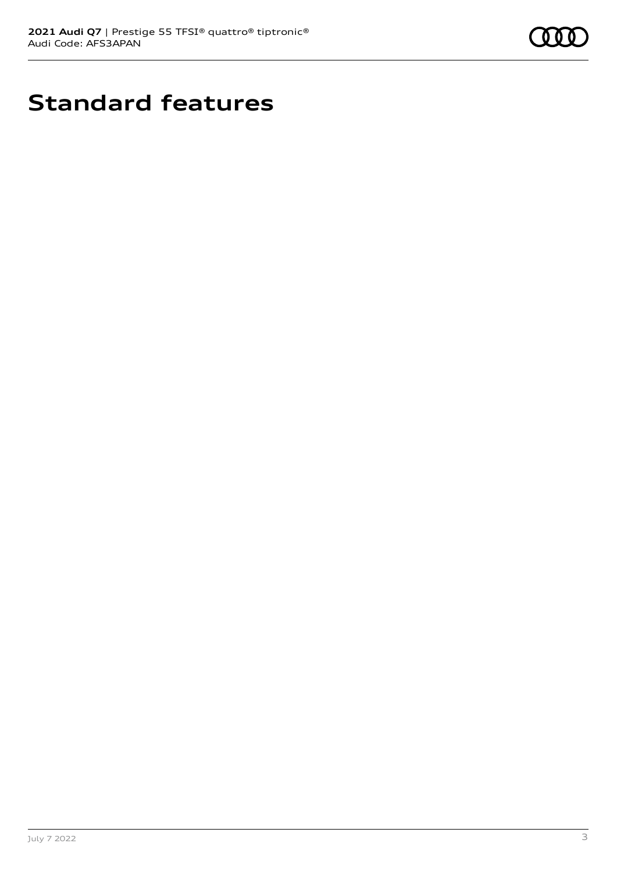

# **Standard features**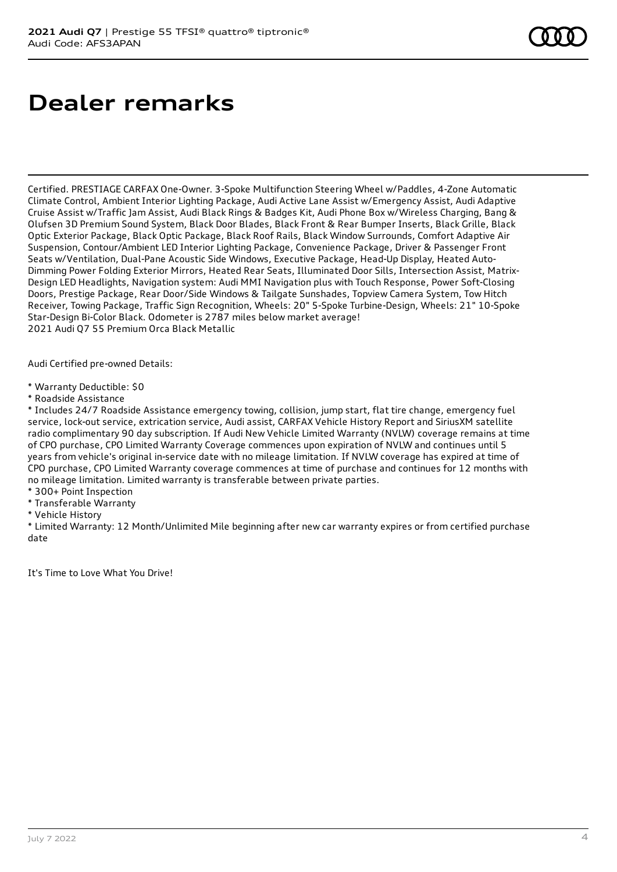# **Dealer remarks**

Certified. PRESTIAGE CARFAX One-Owner. 3-Spoke Multifunction Steering Wheel w/Paddles, 4-Zone Automatic Climate Control, Ambient Interior Lighting Package, Audi Active Lane Assist w/Emergency Assist, Audi Adaptive Cruise Assist w/Traffic Jam Assist, Audi Black Rings & Badges Kit, Audi Phone Box w/Wireless Charging, Bang & Olufsen 3D Premium Sound System, Black Door Blades, Black Front & Rear Bumper Inserts, Black Grille, Black Optic Exterior Package, Black Optic Package, Black Roof Rails, Black Window Surrounds, Comfort Adaptive Air Suspension, Contour/Ambient LED Interior Lighting Package, Convenience Package, Driver & Passenger Front Seats w/Ventilation, Dual-Pane Acoustic Side Windows, Executive Package, Head-Up Display, Heated Auto-Dimming Power Folding Exterior Mirrors, Heated Rear Seats, Illuminated Door Sills, Intersection Assist, Matrix-Design LED Headlights, Navigation system: Audi MMI Navigation plus with Touch Response, Power Soft-Closing Doors, Prestige Package, Rear Door/Side Windows & Tailgate Sunshades, Topview Camera System, Tow Hitch Receiver, Towing Package, Traffic Sign Recognition, Wheels: 20" 5-Spoke Turbine-Design, Wheels: 21" 10-Spoke Star-Design Bi-Color Black. Odometer is 2787 miles below market average! 2021 Audi Q7 55 Premium Orca Black Metallic

Audi Certified pre-owned Details:

\* Warranty Deductible: \$0

\* Roadside Assistance

\* Includes 24/7 Roadside Assistance emergency towing, collision, jump start, flat tire change, emergency fuel service, lock-out service, extrication service, Audi assist, CARFAX Vehicle History Report and SiriusXM satellite radio complimentary 90 day subscription. If Audi New Vehicle Limited Warranty (NVLW) coverage remains at time of CPO purchase, CPO Limited Warranty Coverage commences upon expiration of NVLW and continues until 5 years from vehicle's original in-service date with no mileage limitation. If NVLW coverage has expired at time of CPO purchase, CPO Limited Warranty coverage commences at time of purchase and continues for 12 months with no mileage limitation. Limited warranty is transferable between private parties.

\* 300+ Point Inspection

- \* Transferable Warranty
- \* Vehicle History

\* Limited Warranty: 12 Month/Unlimited Mile beginning after new car warranty expires or from certified purchase date

It's Time to Love What You Drive!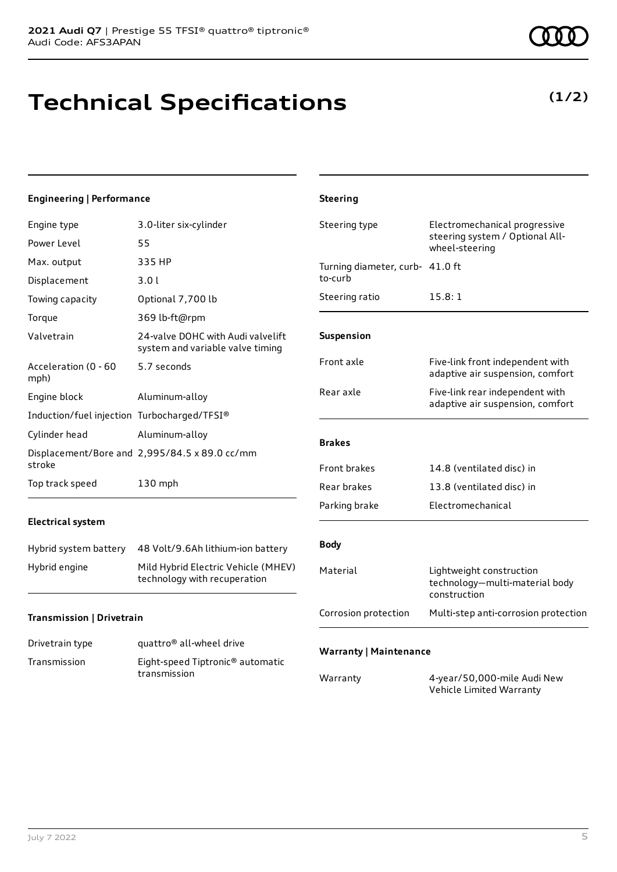# **Technical Specifications**

## **Engineering | Performance**

| Engine type                                 | 3.0-liter six-cylinder                                                |
|---------------------------------------------|-----------------------------------------------------------------------|
| Power Level                                 | 55                                                                    |
| Max. output                                 | 335 HP                                                                |
| Displacement                                | 3.01                                                                  |
| Towing capacity                             | Optional 7,700 lb                                                     |
| Torque                                      | 369 lb-ft@rpm                                                         |
| Valvetrain                                  | 24-valve DOHC with Audi valvelift<br>system and variable valve timing |
| Acceleration (0 - 60<br>mph)                | 5.7 seconds                                                           |
| Engine block                                | Aluminum-alloy                                                        |
| Induction/fuel injection Turbocharged/TFSI® |                                                                       |
| Cylinder head                               | Aluminum-alloy                                                        |
| stroke                                      | Displacement/Bore and 2,995/84.5 x 89.0 cc/mm                         |
| Top track speed                             | 130 mph                                                               |

## **Electrical system**

| Hybrid system battery | 48 Volt/9.6Ah lithium-ion battery                                   |
|-----------------------|---------------------------------------------------------------------|
| Hybrid engine         | Mild Hybrid Electric Vehicle (MHEV)<br>technology with recuperation |

## **Transmission | Drivetrain**

| Drivetrain type | quattro <sup>®</sup> all-wheel drive                         |
|-----------------|--------------------------------------------------------------|
| Transmission    | Eight-speed Tiptronic <sup>®</sup> automatic<br>transmission |

| (1/2) | ) |
|-------|---|
|-------|---|

|                      | adaptive air suspension, comfort                                           |
|----------------------|----------------------------------------------------------------------------|
| <b>Brakes</b>        |                                                                            |
| <b>Front brakes</b>  | 14.8 (ventilated disc) in                                                  |
| Rear brakes          | 13.8 (ventilated disc) in                                                  |
| Parking brake        | Electromechanical                                                          |
|                      |                                                                            |
| <b>Body</b>          |                                                                            |
| Material             | Lightweight construction<br>technology-multi-material body<br>construction |
| Corrosion protection | Multi-step anti-corrosion protection                                       |

Steering type **Electromechanical progressive** 

Front axle Five-link front independent with

Rear axle Five-link rear independent with

Turning diameter, curb-41.0 ft

Steering ratio 15.8:1

wheel-steering

steering system / Optional All-

adaptive air suspension, comfort

## **Warranty | Maintenance**

**Steering**

to-curb

**Suspension**

| Warranty | 4-year/50,000-mile Audi New |
|----------|-----------------------------|
|          | Vehicle Limited Warranty    |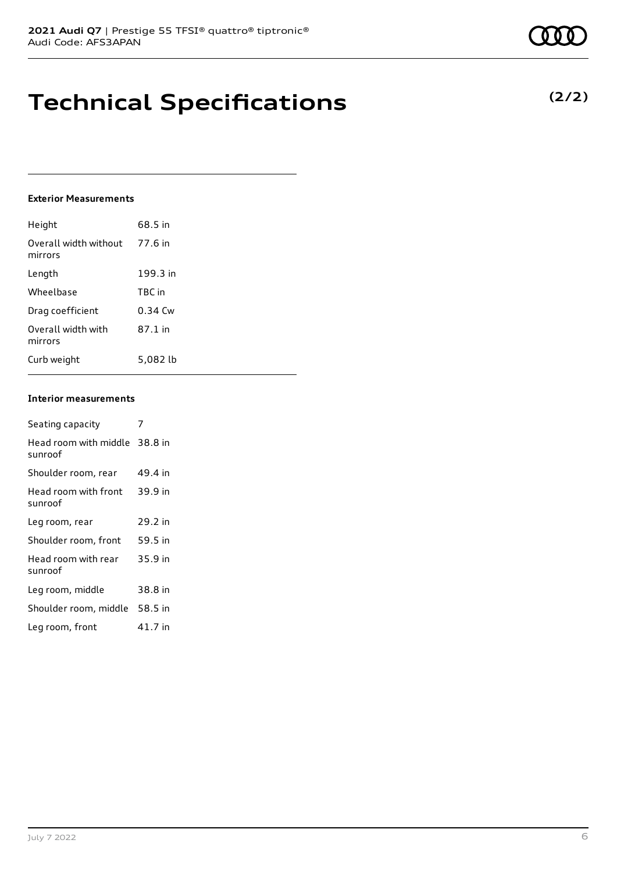# **Technical Specifications**

## **Exterior Measurements**

| Height                           | 68.5 in   |
|----------------------------------|-----------|
| Overall width without<br>mirrors | 77.6 in   |
| Length                           | 199.3 in  |
| Wheelbase                        | TBC in    |
| Drag coefficient                 | $0.34$ Cw |
| Overall width with<br>mirrors    | 87.1 in   |
| Curb weight                      | 5.082 lb  |

#### **Interior measurements**

| Seating capacity                         |         |
|------------------------------------------|---------|
| Head room with middle 38.8 in<br>sunroof |         |
| Shoulder room, rear                      | 49.4 in |
| Head room with front<br>sunroof          | 39.9 in |
| Leg room, rear                           | 29.2 in |
| Shoulder room, front                     | 59.5 in |
| Head room with rear<br>sunroof           | 35.9 in |
| Leg room, middle                         | 38.8 in |
| Shoulder room, middle                    | 58.5 in |
| Leg room, front                          | 41.7 in |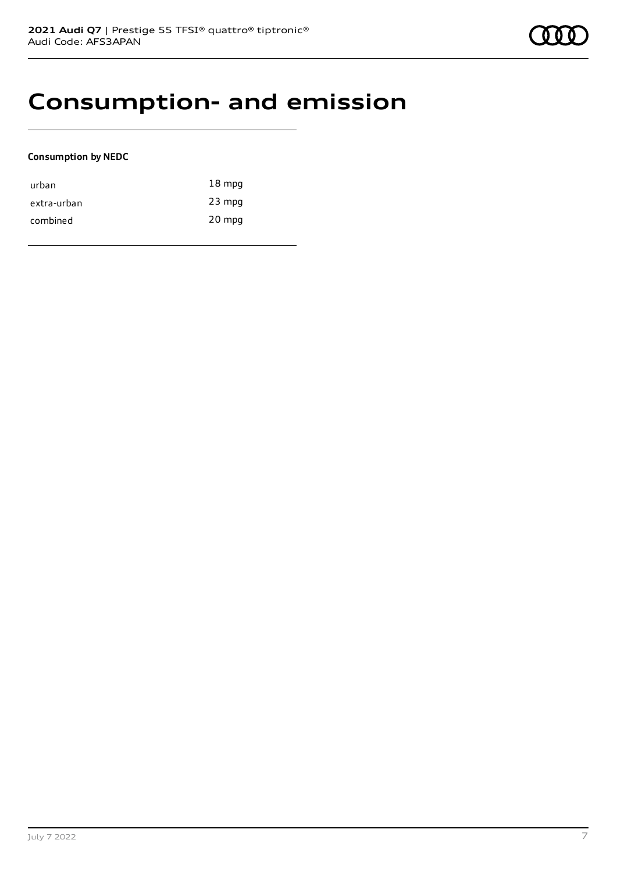## **Consumption- and emission**

## **Consumption by NEDC**

| urban       | $18 \text{ mpg}$ |
|-------------|------------------|
| extra-urban | $23$ mpg         |
| combined    | 20 mpg           |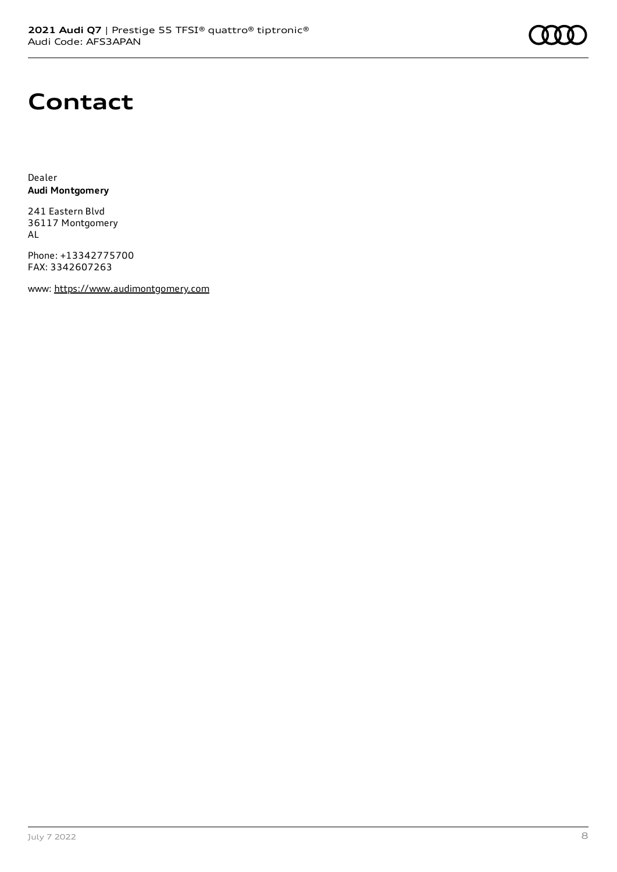# **Contact**

Dealer **Audi Montgomery**

241 Eastern Blvd 36117 Montgomery AL

Phone: +13342775700 FAX: 3342607263

www: [https://www.audimontgomery.com](https://www.audimontgomery.com/)